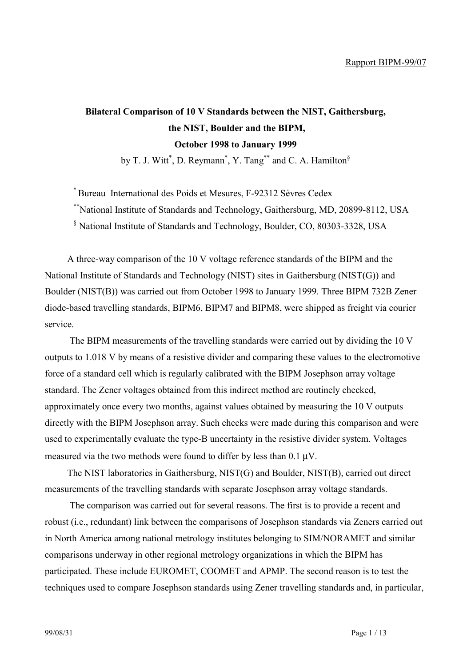## **Bilateral Comparison of 10 V Standards between the NIST, Gaithersburg, the NIST, Boulder and the BIPM, October 1998 to January 1999**

by T. J. Witt<sup>\*</sup>, D. Reymann<sup>\*</sup>, Y. Tang<sup>\*\*</sup> and C. A. Hamilton<sup>§</sup>

\* Bureau International des Poids et Mesures, F-92312 Sèvres Cedex

\*\*National Institute of Standards and Technology, Gaithersburg, MD, 20899-8112, USA

§ National Institute of Standards and Technology, Boulder, CO, 80303-3328, USA

A three-way comparison of the 10 V voltage reference standards of the BIPM and the National Institute of Standards and Technology (NIST) sites in Gaithersburg (NIST(G)) and Boulder (NIST(B)) was carried out from October 1998 to January 1999. Three BIPM 732B Zener diode-based travelling standards, BIPM6, BIPM7 and BIPM8, were shipped as freight via courier service.

 The BIPM measurements of the travelling standards were carried out by dividing the 10 V outputs to 1.018 V by means of a resistive divider and comparing these values to the electromotive force of a standard cell which is regularly calibrated with the BIPM Josephson array voltage standard. The Zener voltages obtained from this indirect method are routinely checked, approximately once every two months, against values obtained by measuring the 10 V outputs directly with the BIPM Josephson array. Such checks were made during this comparison and were used to experimentally evaluate the type-B uncertainty in the resistive divider system. Voltages measured via the two methods were found to differ by less than  $0.1 \mu V$ .

The NIST laboratories in Gaithersburg, NIST(G) and Boulder, NIST(B), carried out direct measurements of the travelling standards with separate Josephson array voltage standards.

 The comparison was carried out for several reasons. The first is to provide a recent and robust (i.e., redundant) link between the comparisons of Josephson standards via Zeners carried out in North America among national metrology institutes belonging to SIM/NORAMET and similar comparisons underway in other regional metrology organizations in which the BIPM has participated. These include EUROMET, COOMET and APMP. The second reason is to test the techniques used to compare Josephson standards using Zener travelling standards and, in particular,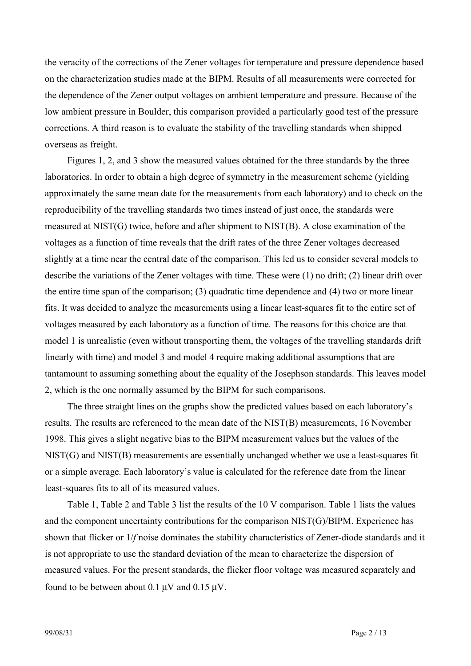the veracity of the corrections of the Zener voltages for temperature and pressure dependence based on the characterization studies made at the BIPM. Results of all measurements were corrected for the dependence of the Zener output voltages on ambient temperature and pressure. Because of the low ambient pressure in Boulder, this comparison provided a particularly good test of the pressure corrections. A third reason is to evaluate the stability of the travelling standards when shipped overseas as freight.

Figures 1, 2, and 3 show the measured values obtained for the three standards by the three laboratories. In order to obtain a high degree of symmetry in the measurement scheme (yielding approximately the same mean date for the measurements from each laboratory) and to check on the reproducibility of the travelling standards two times instead of just once, the standards were measured at NIST(G) twice, before and after shipment to NIST(B). A close examination of the voltages as a function of time reveals that the drift rates of the three Zener voltages decreased slightly at a time near the central date of the comparison. This led us to consider several models to describe the variations of the Zener voltages with time. These were (1) no drift; (2) linear drift over the entire time span of the comparison; (3) quadratic time dependence and (4) two or more linear fits. It was decided to analyze the measurements using a linear least-squares fit to the entire set of voltages measured by each laboratory as a function of time. The reasons for this choice are that model 1 is unrealistic (even without transporting them, the voltages of the travelling standards drift linearly with time) and model 3 and model 4 require making additional assumptions that are tantamount to assuming something about the equality of the Josephson standards. This leaves model 2, which is the one normally assumed by the BIPM for such comparisons.

The three straight lines on the graphs show the predicted values based on each laboratory's results. The results are referenced to the mean date of the NIST(B) measurements, 16 November 1998. This gives a slight negative bias to the BIPM measurement values but the values of the NIST(G) and NIST(B) measurements are essentially unchanged whether we use a least-squares fit or a simple average. Each laboratory's value is calculated for the reference date from the linear least-squares fits to all of its measured values.

Table 1, Table 2 and Table 3 list the results of the 10 V comparison. Table 1 lists the values and the component uncertainty contributions for the comparison NIST(G)/BIPM. Experience has shown that flicker or 1/*f* noise dominates the stability characteristics of Zener-diode standards and it is not appropriate to use the standard deviation of the mean to characterize the dispersion of measured values. For the present standards, the flicker floor voltage was measured separately and found to be between about 0.1 µV and 0.15 µV.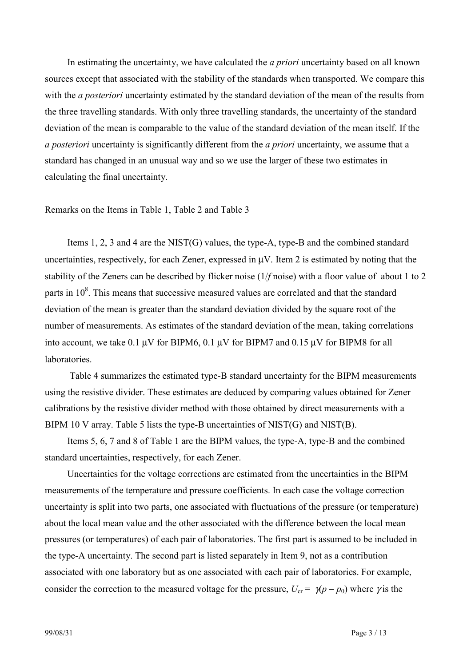In estimating the uncertainty, we have calculated the *a priori* uncertainty based on all known sources except that associated with the stability of the standards when transported. We compare this with the *a posteriori* uncertainty estimated by the standard deviation of the mean of the results from the three travelling standards. With only three travelling standards, the uncertainty of the standard deviation of the mean is comparable to the value of the standard deviation of the mean itself. If the *a posteriori* uncertainty is significantly different from the *a priori* uncertainty, we assume that a standard has changed in an unusual way and so we use the larger of these two estimates in calculating the final uncertainty.

Remarks on the Items in Table 1, Table 2 and Table 3

Items 1, 2, 3 and 4 are the NIST(G) values, the type-A, type-B and the combined standard uncertainties, respectively, for each Zener, expressed in µV. Item 2 is estimated by noting that the stability of the Zeners can be described by flicker noise (1/*f* noise) with a floor value of about 1 to 2 parts in  $10^8$ . This means that successive measured values are correlated and that the standard deviation of the mean is greater than the standard deviation divided by the square root of the number of measurements. As estimates of the standard deviation of the mean, taking correlations into account, we take  $0.1 \mu V$  for BIPM6,  $0.1 \mu V$  for BIPM7 and  $0.15 \mu V$  for BIPM8 for all laboratories.

 Table 4 summarizes the estimated type-B standard uncertainty for the BIPM measurements using the resistive divider. These estimates are deduced by comparing values obtained for Zener calibrations by the resistive divider method with those obtained by direct measurements with a BIPM 10 V array. Table 5 lists the type-B uncertainties of NIST(G) and NIST(B).

Items 5, 6, 7 and 8 of Table 1 are the BIPM values, the type-A, type-B and the combined standard uncertainties, respectively, for each Zener.

Uncertainties for the voltage corrections are estimated from the uncertainties in the BIPM measurements of the temperature and pressure coefficients. In each case the voltage correction uncertainty is split into two parts, one associated with fluctuations of the pressure (or temperature) about the local mean value and the other associated with the difference between the local mean pressures (or temperatures) of each pair of laboratories. The first part is assumed to be included in the type-A uncertainty. The second part is listed separately in Item 9, not as a contribution associated with one laboratory but as one associated with each pair of laboratories. For example, consider the correction to the measured voltage for the pressure,  $U_{cr} = \gamma(p - p_0)$  where  $\gamma$  is the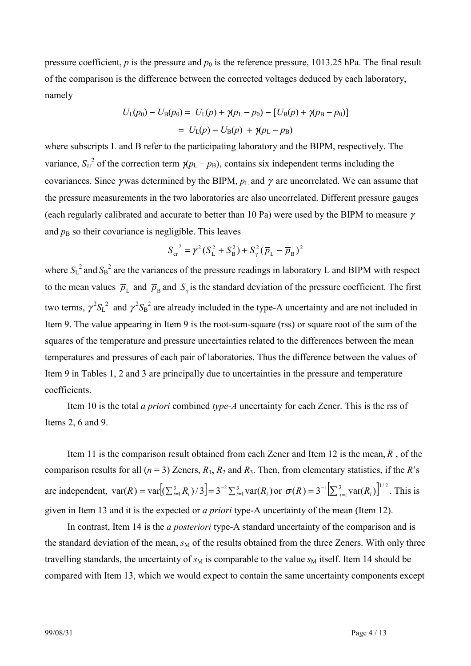pressure coefficient,  $p$  is the pressure and  $p_0$  is the reference pressure, 1013.25 hPa. The final result of the comparison is the difference between the corrected voltages deduced by each laboratory, namely

$$
U_{L}(p_{0}) - U_{B}(p_{0}) = U_{L}(p) + \gamma(p_{L} - p_{0}) - [U_{B}(p) + \gamma(p_{B} - p_{0})]
$$
  
=  $U_{L}(p) - U_{B}(p) + \gamma(p_{L} - p_{B})$ 

where subscripts L and B refer to the participating laboratory and the BIPM, respectively. The variance,  $S_{cr}^2$  of the correction term  $\chi p_L - p_B$ ), contains six independent terms including the covariances. Since *γ* was determined by the BIPM,  $p_L$  and *γ* are uncorrelated. We can assume that the pressure measurements in the two laboratories are also uncorrelated. Different pressure gauges (each regularly calibrated and accurate to better than 10 Pa) were used by the BIPM to measure  $\gamma$ and  $p<sub>B</sub>$  so their covariance is negligible. This leaves

$$
S_{\rm cr}^{2} = \gamma^{2} (S_{\rm L}^{2} + S_{\rm B}^{2}) + S_{\gamma}^{2} (\overline{p}_{\rm L} - \overline{p}_{\rm B})^{2}
$$

where  $S_L^2$  and  $S_B^2$  are the variances of the pressure readings in laboratory L and BIPM with respect to the mean values  $\bar{p}_L$  and  $\bar{p}_B$  and  $S_\gamma$  is the standard deviation of the pressure coefficient. The first two terms,  $\gamma^2 S_L^2$  and  $\gamma^2 S_B^2$  are already included in the type-A uncertainty and are not included in Item 9. The value appearing in Item 9 is the root-sum-square (rss) or square root of the sum of the squares of the temperature and pressure uncertainties related to the differences between the mean temperatures and pressures of each pair of laboratories. Thus the difference between the values of Item 9 in Tables 1, 2 and 3 are principally due to uncertainties in the pressure and temperature coefficients.

Item 10 is the total *a priori* combined *type-A* uncertainty for each Zener. This is the rss of Items 2, 6 and 9.

Item 11 is the comparison result obtained from each Zener and Item 12 is the mean,  $\overline{R}$ , of the comparison results for all  $(n = 3)$  Zeners,  $R_1$ ,  $R_2$  and  $R_3$ . Then, from elementary statistics, if the *R*'s are independent,  $var(\overline{R}) = var[(\sum_{i=1}^{3} R_i)/3] = 3^{-2} \sum_{i=1}^{3} var(R_i)$  or  $\sigma(\overline{R}) = 3^{-1} \left[\sum_{i=1}^{3} var(R_i)\right]^{1/2}$ . This is given in Item 13 and it is the expected or *a priori* type-A uncertainty of the mean (Item 12).

In contrast, Item 14 is the *a posteriori* type-A standard uncertainty of the comparison and is the standard deviation of the mean,  $s_M$  of the results obtained from the three Zeners. With only three travelling standards, the uncertainty of  $s_M$  is comparable to the value  $s_M$  itself. Item 14 should be compared with Item 13, which we would expect to contain the same uncertainty components except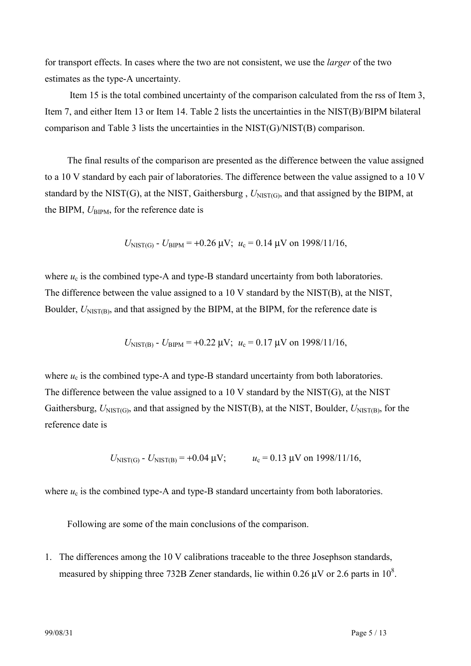for transport effects. In cases where the two are not consistent, we use the *larger* of the two estimates as the type-A uncertainty.

 Item 15 is the total combined uncertainty of the comparison calculated from the rss of Item 3, Item 7, and either Item 13 or Item 14. Table 2 lists the uncertainties in the NIST(B)/BIPM bilateral comparison and Table 3 lists the uncertainties in the NIST(G)/NIST(B) comparison.

The final results of the comparison are presented as the difference between the value assigned to a 10 V standard by each pair of laboratories. The difference between the value assigned to a 10 V standard by the NIST(G), at the NIST, Gaithersburg,  $U_{NIST(G)}$ , and that assigned by the BIPM, at the BIPM,  $U_{\text{BIPM}}$ , for the reference date is

$$
U_{\text{NIST(G)}} - U_{\text{BIPM}} = +0.26 \text{ }\mu\text{V}; u_c = 0.14 \text{ }\mu\text{V} \text{ on } 1998/11/16,
$$

where  $u_c$  is the combined type-A and type-B standard uncertainty from both laboratories. The difference between the value assigned to a 10 V standard by the NIST(B), at the NIST, Boulder,  $U_{NIST(B)}$ , and that assigned by the BIPM, at the BIPM, for the reference date is

$$
U_{\text{NIST(B)}}
$$
 -  $U_{\text{BIPM}}$  = +0.22  $\mu$ V;  $u_c$  = 0.17  $\mu$ V on 1998/11/16,

where  $u_c$  is the combined type-A and type-B standard uncertainty from both laboratories. The difference between the value assigned to a 10 V standard by the NIST(G), at the NIST Gaithersburg, *U*NIST<sub>(G)</sub>, and that assigned by the NIST<sub>(B)</sub>, at the NIST, Boulder, *U*NIST<sub>(B)</sub>, for the reference date is

$$
U_{NIST(G)}
$$
 -  $U_{NIST(B)}$  = +0.04  $\mu$ V;  
 $u_c$  = 0.13  $\mu$ V on 1998/11/16,

where  $u_c$  is the combined type-A and type-B standard uncertainty from both laboratories.

Following are some of the main conclusions of the comparison.

1. The differences among the 10 V calibrations traceable to the three Josephson standards, measured by shipping three 732B Zener standards, lie within 0.26  $\mu$ V or 2.6 parts in 10<sup>8</sup>.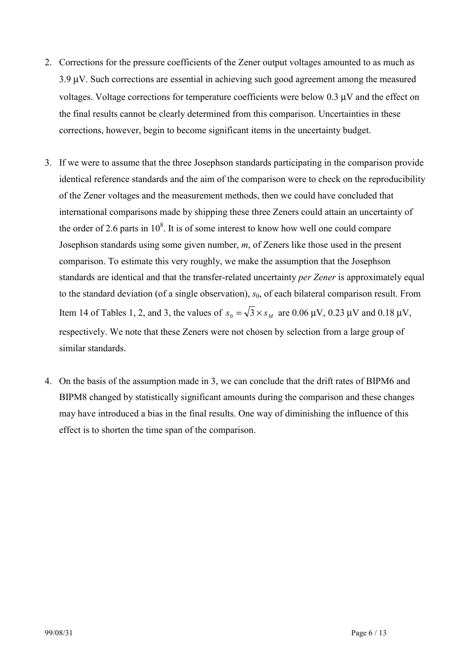- 2. Corrections for the pressure coefficients of the Zener output voltages amounted to as much as 3.9 µV. Such corrections are essential in achieving such good agreement among the measured voltages. Voltage corrections for temperature coefficients were below 0.3 µV and the effect on the final results cannot be clearly determined from this comparison. Uncertainties in these corrections, however, begin to become significant items in the uncertainty budget.
- 3. If we were to assume that the three Josephson standards participating in the comparison provide identical reference standards and the aim of the comparison were to check on the reproducibility of the Zener voltages and the measurement methods, then we could have concluded that international comparisons made by shipping these three Zeners could attain an uncertainty of the order of 2.6 parts in  $10^8$ . It is of some interest to know how well one could compare Josephson standards using some given number, *m*, of Zeners like those used in the present comparison. To estimate this very roughly, we make the assumption that the Josephson standards are identical and that the transfer-related uncertainty *per Zener* is approximately equal to the standard deviation (of a single observation),  $s_0$ , of each bilateral comparison result. From Item 14 of Tables 1, 2, and 3, the values of  $s_0 = \sqrt{3} \times s_M$  are 0.06  $\mu$ V, 0.23  $\mu$ V and 0.18  $\mu$ V, respectively. We note that these Zeners were not chosen by selection from a large group of similar standards.
- 4. On the basis of the assumption made in 3, we can conclude that the drift rates of BIPM6 and BIPM8 changed by statistically significant amounts during the comparison and these changes may have introduced a bias in the final results. One way of diminishing the influence of this effect is to shorten the time span of the comparison.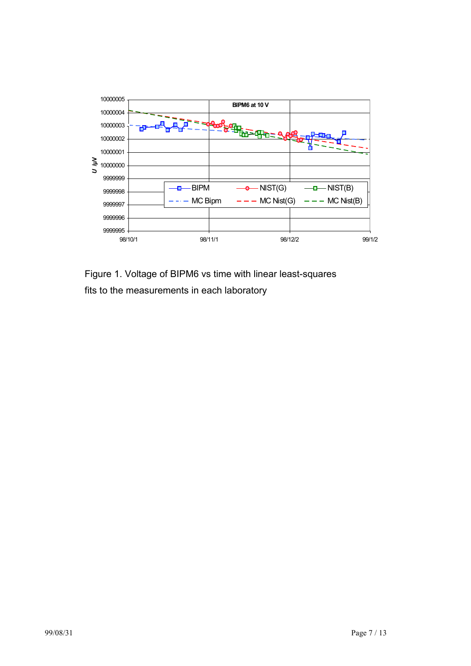

Figure 1. Voltage of BIPM6 vs time with linear least-squares fits to the measurements in each laboratory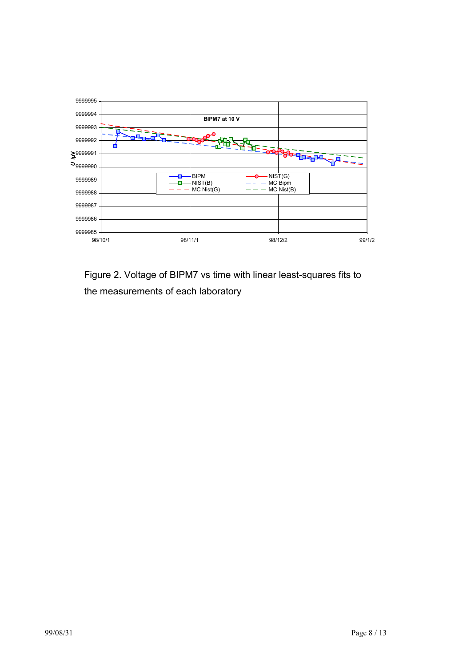

Figure 2. Voltage of BIPM7 vs time with linear least-squares fits to the measurements of each laboratory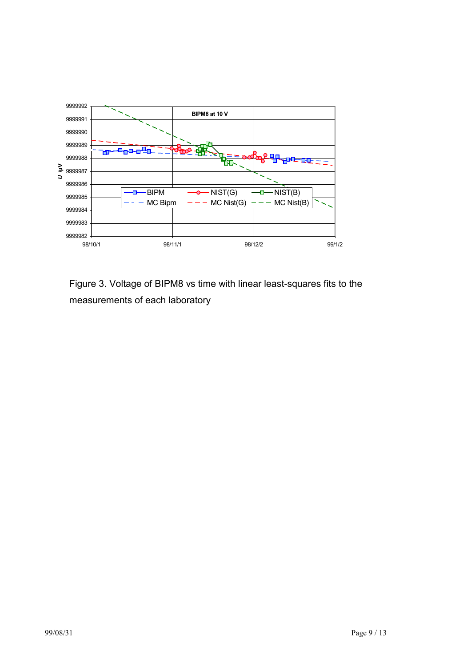

Figure 3. Voltage of BIPM8 vs time with linear least-squares fits to the measurements of each laboratory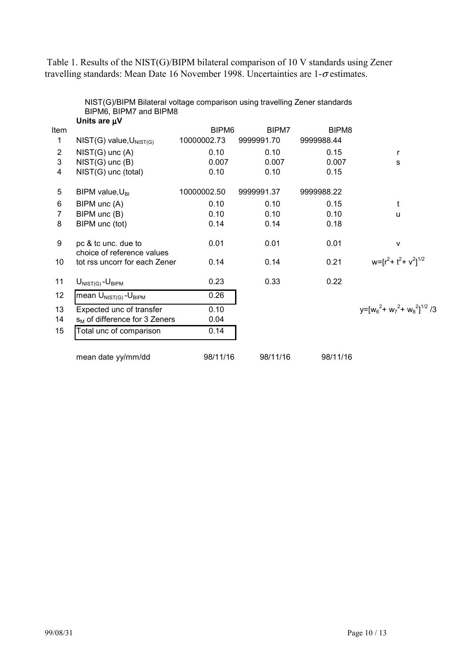Table 1. Results of the NIST(G)/BIPM bilateral comparison of 10 V standards using Zener travelling standards: Mean Date 16 November 1998. Uncertainties are 1-σ estimates.

|      | Units are $\mu$ V                                 |                   |            |                   |                                        |
|------|---------------------------------------------------|-------------------|------------|-------------------|----------------------------------------|
| Item |                                                   | BIPM <sub>6</sub> | BIPM7      | BIPM <sub>8</sub> |                                        |
| 1    | $NIST(G)$ value, $U_{NIST(G)}$                    | 10000002.73       | 9999991.70 | 9999988.44        |                                        |
| 2    | $NIST(G)$ unc $(A)$                               | 0.10              | 0.10       | 0.15              | r                                      |
| 3    | $NIST(G)$ unc $(B)$                               | 0.007             | 0.007      | 0.007             | s                                      |
| 4    | NIST(G) unc (total)                               | 0.10              | 0.10       | 0.15              |                                        |
| 5    | BIPM value, $U_{\text{BI}}$                       | 10000002.50       | 9999991.37 | 9999988.22        |                                        |
| 6    | BIPM unc (A)                                      | 0.10              | 0.10       | 0.15              | t                                      |
| 7    | BIPM unc (B)                                      | 0.10              | 0.10       | 0.10              | u                                      |
| 8    | BIPM unc (tot)                                    | 0.14              | 0.14       | 0.18              |                                        |
| 9    | pc & tc unc. due to<br>choice of reference values | 0.01              | 0.01       | 0.01              | ٧                                      |
| 10   | tot rss uncorr for each Zener                     | 0.14              | 0.14       | 0.21              | $w = [r^2 + t^2 + v^2]^{1/2}$          |
| 11   | $U_{NIST(G)} - U_{BIPM}$                          | 0.23              | 0.33       | 0.22              |                                        |
| 12   | mean $U_{NIST(G)}$ - $U_{BIPM}$                   | 0.26              |            |                   |                                        |
| 13   | Expected unc of transfer                          | 0.10              |            |                   | $v = [w_6^2 + w_7^2 + w_8^2]^{1/2}$ /3 |
| 14   | $s_M$ of difference for 3 Zeners                  | 0.04              |            |                   |                                        |
| 15   | Total unc of comparison                           | 0.14              |            |                   |                                        |
|      | mean date yy/mm/dd                                | 98/11/16          | 98/11/16   | 98/11/16          |                                        |

NIST(G)/BIPM Bilateral voltage comparison using travelling Zener standards BIPM6, BIPM7 and BIPM8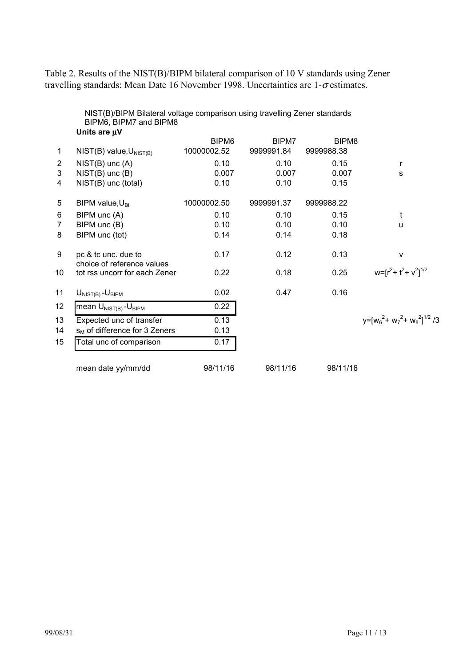Table 2. Results of the NIST(B)/BIPM bilateral comparison of 10 V standards using Zener travelling standards: Mean Date 16 November 1998. Uncertainties are 1-σ estimates.

|                 | NIST(B)/BIPM Bilateral voltage comparison using travelling Zener standards<br>BIPM6, BIPM7 and BIPM8<br>Units are µV |                   |            |                   |                                 |
|-----------------|----------------------------------------------------------------------------------------------------------------------|-------------------|------------|-------------------|---------------------------------|
|                 |                                                                                                                      | BIPM <sub>6</sub> | BIPM7      | BIPM <sub>8</sub> |                                 |
| $\mathbf 1$     | $NIST(B)$ value, $U_{NIST(B)}$                                                                                       | 10000002.52       | 9999991.84 | 9999988.38        |                                 |
| 2               | $NIST(B)$ unc $(A)$                                                                                                  | 0.10              | 0.10       | 0.15              | r                               |
| 3               | $NIST(B)$ unc $(B)$                                                                                                  | 0.007             | 0.007      | 0.007             | S                               |
| 4               | NIST(B) unc (total)                                                                                                  | 0.10              | 0.10       | 0.15              |                                 |
| 5               | BIPM value, $U_{\text{BI}}$                                                                                          | 10000002.50       | 9999991.37 | 9999988.22        |                                 |
| 6               | BIPM unc (A)                                                                                                         | 0.10              | 0.10       | 0.15              | t                               |
| $\overline{7}$  | BIPM unc (B)                                                                                                         | 0.10              | 0.10       | 0.10              | u                               |
| 8               | BIPM unc (tot)                                                                                                       | 0.14              | 0.14       | 0.18              |                                 |
| 9               | pc & tc unc. due to<br>choice of reference values                                                                    | 0.17              | 0.12       | 0.13              | V                               |
| 10              | tot rss uncorr for each Zener                                                                                        | 0.22              | 0.18       | 0.25              | $w=[r^2 + t^2 + v^2]^{1/2}$     |
| 11              | $U_{NIST(B)} - U_{BIPM}$                                                                                             | 0.02              | 0.47       | 0.16              |                                 |
| 12 <sub>2</sub> | mean U <sub>NIST(B)</sub> -U <sub>BIPM</sub>                                                                         | 0.22              |            |                   |                                 |
| 13              | Expected unc of transfer                                                                                             | 0.13              |            |                   | $y=[w_6^2+w_7^2+w_8^2]^{1/2}/3$ |
| 14              | $s_M$ of difference for 3 Zeners                                                                                     | 0.13              |            |                   |                                 |
| 15              | Total unc of comparison                                                                                              | 0.17              |            |                   |                                 |
|                 | mean date yy/mm/dd                                                                                                   | 98/11/16          | 98/11/16   | 98/11/16          |                                 |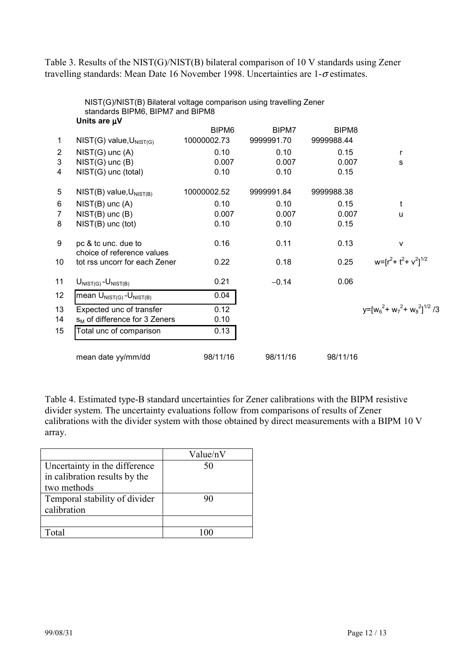Table 3. Results of the NIST(G)/NIST(B) bilateral comparison of 10 V standards using Zener travelling standards: Mean Date 16 November 1998. Uncertainties are 1-σ estimates.

|                | <u>NIST(G)/NIST(D) bilateral võitage comparisõn üsing traveliliig Zener</u><br>standards BIPM6, BIPM7 and BIPM8 |                   |            |                   |                                 |
|----------------|-----------------------------------------------------------------------------------------------------------------|-------------------|------------|-------------------|---------------------------------|
|                | Units are $\mu$ V                                                                                               |                   |            |                   |                                 |
|                |                                                                                                                 | BIPM <sub>6</sub> | BIPM7      | BIPM <sub>8</sub> |                                 |
| 1              | $NIST(G)$ value, $U_{NIST(G)}$                                                                                  | 10000002.73       | 9999991.70 | 9999988.44        |                                 |
| $\overline{2}$ | $NIST(G)$ unc $(A)$                                                                                             | 0.10              | 0.10       | 0.15              | r                               |
| 3              | $NIST(G)$ unc $(B)$                                                                                             | 0.007             | 0.007      | 0.007             | s                               |
| 4              | NIST(G) unc (total)                                                                                             | 0.10              | 0.10       | 0.15              |                                 |
| 5              | $NIST(B)$ value, $U_{NIST(B)}$                                                                                  | 10000002.52       | 9999991.84 | 9999988.38        |                                 |
| 6              | $NIST(B)$ unc $(A)$                                                                                             | 0.10              | 0.10       | 0.15              | t                               |
| 7              | $NIST(B)$ unc $(B)$                                                                                             | 0.007             | 0.007      | 0.007             | u                               |
| 8              | $NIST(B)$ unc (tot)                                                                                             | 0.10              | 0.10       | 0.15              |                                 |
| 9              | pc & tc unc. due to<br>choice of reference values                                                               | 0.16              | 0.11       | 0.13              | $\mathsf{v}$                    |
| 10             | tot rss uncorr for each Zener                                                                                   | 0.22              | 0.18       | 0.25              | $w=[r^2+t^2+v^2]^{1/2}$         |
| 11             | $U_{NIST(G)} - U_{NIST(B)}$                                                                                     | 0.21              | $-0.14$    | 0.06              |                                 |
| 12             | mean $U_{NIST(G)} - U_{NIST(B)}$                                                                                | 0.04              |            |                   |                                 |
| 13             | Expected unc of transfer                                                                                        | 0.12              |            |                   | $y=[w_6^2+w_7^2+w_8^2]^{1/2}/3$ |
| 14             | $s_M$ of difference for 3 Zeners                                                                                | 0.10              |            |                   |                                 |
| 15             | Total unc of comparison                                                                                         | 0.13              |            |                   |                                 |
|                | mean date yy/mm/dd                                                                                              | 98/11/16          | 98/11/16   | 98/11/16          |                                 |

NIST(G)/NIST(B) Bilateral voltage comparison using travelling Zener

Table 4. Estimated type-B standard uncertainties for Zener calibrations with the BIPM resistive divider system. The uncertainty evaluations follow from comparisons of results of Zener calibrations with the divider system with those obtained by direct measurements with a BIPM 10 V array.

|                               | Value/nV |
|-------------------------------|----------|
| Uncertainty in the difference | 50       |
| in calibration results by the |          |
| two methods                   |          |
| Temporal stability of divider | 90       |
| calibration                   |          |
|                               |          |
| Total                         |          |